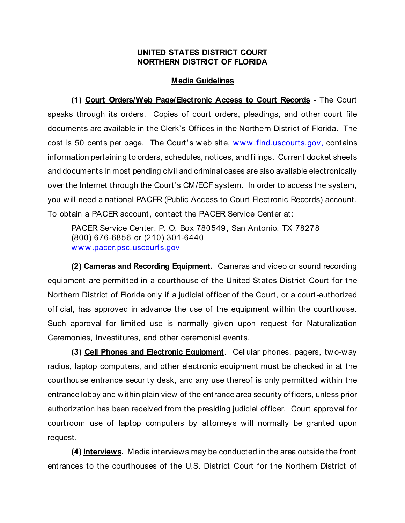## **UNITED STATES DISTRICT COURT NORTHERN DISTRICT OF FLORIDA**

## **Media Guidelines**

**(1) Court Orders/Web Page/Electronic Access to Court Records -** The Court speaks through its orders. Copies of court orders, pleadings, and other court file documents are available in the Clerk's Offices in the Northern District of Florida. The cost is 50 cents per page. The Court's w eb site, [www.flnd.uscourts.gov,](http://www.flnd.uscourts.gov,) contains information pertaining to orders, schedules, notices, and filings. Current docket sheets and documents in most pending civil and criminal cases are also available electronically over the Internet through the Court's CM/ECF system. In order to access the system, you will need a national PACER (Public Access to Court Electronic Records) account. To obtain a PACER account, contact the PACER Service Center at:

PACER Service Center, P. O. Box 780549, San Antonio, TX 78278 (800) 676-6856 or (210) 301-6440 [www.pacer.psc.uscourts.gov](http://www.pacer.psc.uscourts.gov)

**(2) Cameras and Recording Equipment.** Cameras and video or sound recording equipment are permitted in a courthouse of the United States District Court for the Northern District of Florida only if a judicial officer of the Court, or a court-authorized official, has approved in advance the use of the equipment within the courthouse. Such approval for limited use is normally given upon request for Naturalization Ceremonies, Investitures, and other ceremonial events.

**(3) Cell Phones and Electronic Equipment**. Cellular phones, pagers, two-way radios, laptop computers, and other electronic equipment must be checked in at the courthouse entrance security desk, and any use thereof is only permitted within the entrance lobby and within plain view of the entrance area security officers, unless prior authorization has been received from the presiding judicial officer. Court approval for courtroom use of laptop computers by attorneys w ill normally be granted upon request.

**(4) Interviews.** Media interviews may be conducted in the area outside the front entrances to the courthouses of the U.S. District Court for the Northern District of